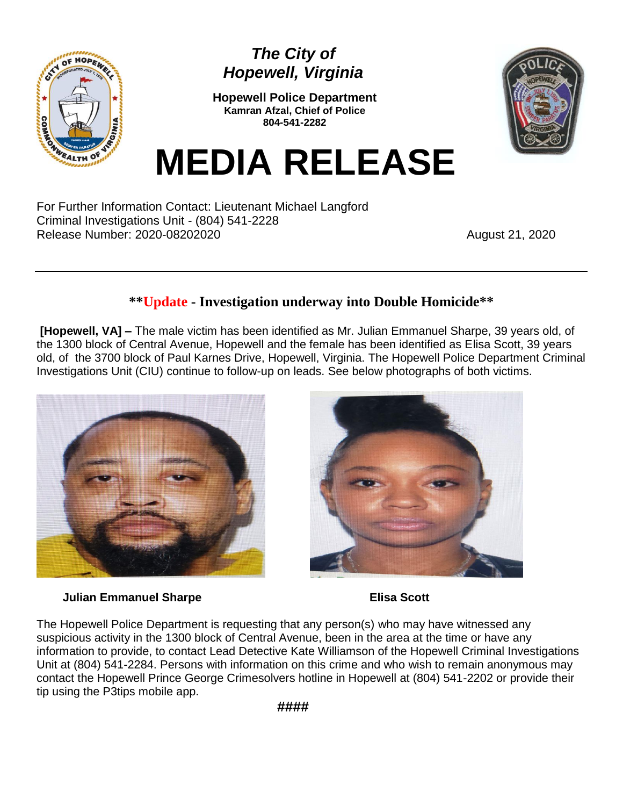

## *The City of Hopewell, Virginia*

**Hopewell Police Department Kamran Afzal, Chief of Police 804-541-2282**



## **MEDIA RELEASE**

For Further Information Contact: Lieutenant Michael Langford Criminal Investigations Unit - (804) 541-2228 Release Number: 2020-08202020 <br>
August 21, 2020

## **\*\*Update - Investigation underway into Double Homicide\*\***

**[Hopewell, VA] –** The male victim has been identified as Mr. Julian Emmanuel Sharpe, 39 years old, of the 1300 block of Central Avenue, Hopewell and the female has been identified as Elisa Scott, 39 years old, of the 3700 block of Paul Karnes Drive, Hopewell, Virginia. The Hopewell Police Department Criminal Investigations Unit (CIU) continue to follow-up on leads. See below photographs of both victims.



## **Julian Emmanuel Sharpe Elisa Scott**



The Hopewell Police Department is requesting that any person(s) who may have witnessed any suspicious activity in the 1300 block of Central Avenue, been in the area at the time or have any information to provide, to contact Lead Detective Kate Williamson of the Hopewell Criminal Investigations Unit at (804) 541-2284. Persons with information on this crime and who wish to remain anonymous may contact the Hopewell Prince George Crimesolvers hotline in Hopewell at (804) 541-2202 or provide their tip using the P3tips mobile app.

 **####**